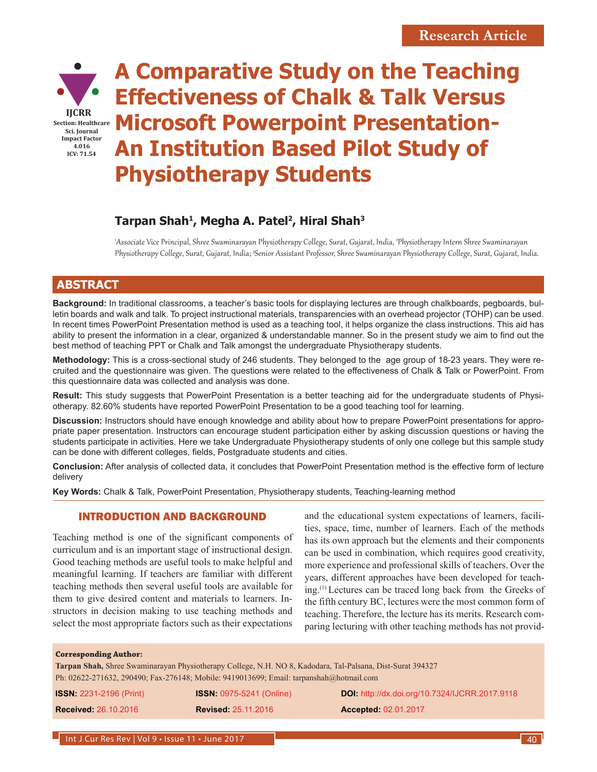

# **A Comparative Study on the Teaching Effectiveness of Chalk & Talk Versus Microsoft Powerpoint Presentation-An Institution Based Pilot Study of Physiotherapy Students**

## Tarpan Shah<sup>1</sup>, Megha A. Patel<sup>2</sup>, Hiral Shah<sup>3</sup>

'Associate Vice Principal, Shree Swaminarayan Physiotherapy College, Surat, Gujarat, India, <del>'</del>Physiotherapy Intern Shree Swaminarayan Physiotherapy College, Surat, Gujarat, India; <sup>s</sup>Senior Assistant Professor, Shree Swaminarayan Physiotherapy College, Surat, Gujarat, India.

### **ABSTRACT**

**Background:** In traditional classrooms, a teacher's basic tools for displaying lectures are through chalkboards, pegboards, bulletin boards and walk and talk. To project instructional materials, transparencies with an overhead projector (TOHP) can be used. In recent times PowerPoint Presentation method is used as a teaching tool, it helps organize the class instructions. This aid has ability to present the information in a clear, organized & understandable manner. So in the present study we aim to find out the best method of teaching PPT or Chalk and Talk amongst the undergraduate Physiotherapy students.

**Methodology:** This is a cross-sectional study of 246 students. They belonged to the age group of 18-23 years. They were recruited and the questionnaire was given. The questions were related to the effectiveness of Chalk & Talk or PowerPoint. From this questionnaire data was collected and analysis was done.

**Result:** This study suggests that PowerPoint Presentation is a better teaching aid for the undergraduate students of Physiotherapy. 82.60% students have reported PowerPoint Presentation to be a good teaching tool for learning.

**Discussion:** Instructors should have enough knowledge and ability about how to prepare PowerPoint presentations for appropriate paper presentation. Instructors can encourage student participation either by asking discussion questions or having the students participate in activities. Here we take Undergraduate Physiotherapy students of only one college but this sample study can be done with different colleges, fields, Postgraduate students and cities.

**Conclusion:** After analysis of collected data, it concludes that PowerPoint Presentation method is the effective form of lecture delivery

**Key Words:** Chalk & Talk, PowerPoint Presentation, Physiotherapy students, Teaching-learning method

#### INTRODUCTION AND BACKGROUND

Teaching method is one of the significant components of curriculum and is an important stage of instructional design. Good teaching methods are useful tools to make helpful and meaningful learning. If teachers are familiar with different teaching methods then several useful tools are available for them to give desired content and materials to learners. Instructors in decision making to use teaching methods and select the most appropriate factors such as their expectations and the educational system expectations of learners, facilities, space, time, number of learners. Each of the methods has its own approach but the elements and their components can be used in combination, which requires good creativity, more experience and professional skills of teachers. Over the years, different approaches have been developed for teaching.(1) Lectures can be traced long back from the Greeks of the fifth century BC, lectures were the most common form of teaching. Therefore, the lecture has its merits. Research comparing lecturing with other teaching methods has not provid-

#### **Corresponding Author:**

**Tarpan Shah,** Shree Swaminarayan Physiotherapy College, N.H. NO 8, Kadodara, Tal-Palsana, Dist-Surat 394327 Ph: 02622-271632, 290490; Fax-276148; Mobile: 9419013699; Email: tarpanshah@hotmail.com

| <b>ISSN: 2231-2196 (Print)</b> | <b>ISSN: 0975-5241 (Online)</b> | <b>DOI:</b> http://dx.doi.org/10.7324/IJCRR.2017.9118 |
|--------------------------------|---------------------------------|-------------------------------------------------------|
| <b>Received: 26.10.2016</b>    | <b>Revised: 25.11.2016</b>      | <b>Accepted: 02.01.2017</b>                           |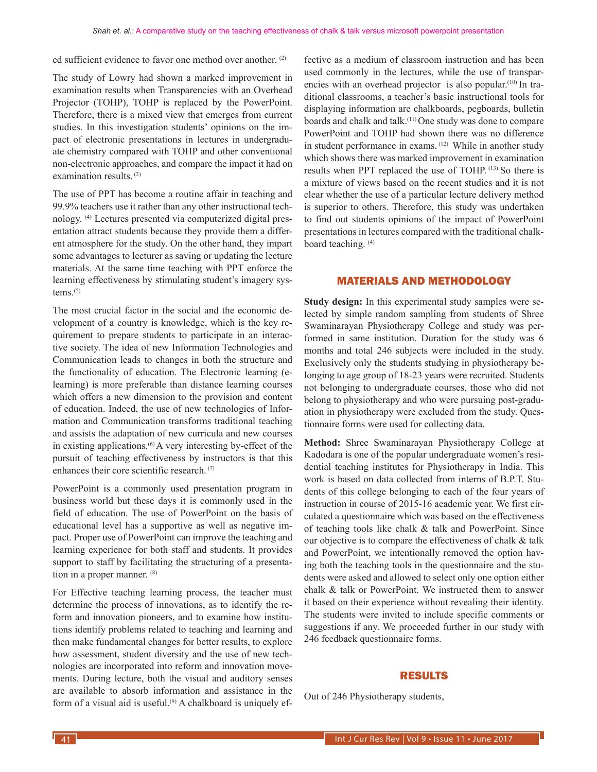ed sufficient evidence to favor one method over another. (2)

The study of Lowry had shown a marked improvement in examination results when Transparencies with an Overhead Projector (TOHP), TOHP is replaced by the PowerPoint. Therefore, there is a mixed view that emerges from current studies. In this investigation students' opinions on the impact of electronic presentations in lectures in undergraduate chemistry compared with TOHP and other conventional non-electronic approaches, and compare the impact it had on examination results. (3)

The use of PPT has become a routine affair in teaching and 99.9% teachers use it rather than any other instructional technology. (4) Lectures presented via computerized digital presentation attract students because they provide them a different atmosphere for the study. On the other hand, they impart some advantages to lecturer as saving or updating the lecture materials. At the same time teaching with PPT enforce the learning effectiveness by stimulating student's imagery systems.<sup>(5)</sup>

The most crucial factor in the social and the economic development of a country is knowledge, which is the key requirement to prepare students to participate in an interactive society. The idea of new Information Technologies and Communication leads to changes in both the structure and the functionality of education. The Electronic learning (elearning) is more preferable than distance learning courses which offers a new dimension to the provision and content of education. Indeed, the use of new technologies of Information and Communication transforms traditional teaching and assists the adaptation of new curricula and new courses in existing applications.(6) A very interesting by-effect of the pursuit of teaching effectiveness by instructors is that this enhances their core scientific research. (7)

PowerPoint is a commonly used presentation program in business world but these days it is commonly used in the field of education. The use of PowerPoint on the basis of educational level has a supportive as well as negative impact. Proper use of PowerPoint can improve the teaching and learning experience for both staff and students. It provides support to staff by facilitating the structuring of a presentation in a proper manner. (8)

For Effective teaching learning process, the teacher must determine the process of innovations, as to identify the reform and innovation pioneers, and to examine how institutions identify problems related to teaching and learning and then make fundamental changes for better results, to explore how assessment, student diversity and the use of new technologies are incorporated into reform and innovation movements. During lecture, both the visual and auditory senses are available to absorb information and assistance in the form of a visual aid is useful.<sup>(9)</sup> A chalkboard is uniquely effective as a medium of classroom instruction and has been used commonly in the lectures, while the use of transparencies with an overhead projector is also popular.<sup>(10)</sup> In traditional classrooms, a teacher's basic instructional tools for displaying information are chalkboards, pegboards, bulletin boards and chalk and talk.(11) One study was done to compare PowerPoint and TOHP had shown there was no difference in student performance in exams. (12) While in another study which shows there was marked improvement in examination results when PPT replaced the use of TOHP. (13) So there is a mixture of views based on the recent studies and it is not clear whether the use of a particular lecture delivery method is superior to others. Therefore, this study was undertaken to find out students opinions of the impact of PowerPoint presentations in lectures compared with the traditional chalkboard teaching. (4)

#### MATERIALS AND METHODOLOGY

**Study design:** In this experimental study samples were selected by simple random sampling from students of Shree Swaminarayan Physiotherapy College and study was performed in same institution. Duration for the study was 6 months and total 246 subjects were included in the study. Exclusively only the students studying in physiotherapy belonging to age group of 18-23 years were recruited. Students not belonging to undergraduate courses, those who did not belong to physiotherapy and who were pursuing post-graduation in physiotherapy were excluded from the study. Questionnaire forms were used for collecting data.

**Method:** Shree Swaminarayan Physiotherapy College at Kadodara is one of the popular undergraduate women's residential teaching institutes for Physiotherapy in India. This work is based on data collected from interns of B.P.T. Students of this college belonging to each of the four years of instruction in course of 2015-16 academic year. We first circulated a questionnaire which was based on the effectiveness of teaching tools like chalk & talk and PowerPoint. Since our objective is to compare the effectiveness of chalk & talk and PowerPoint, we intentionally removed the option having both the teaching tools in the questionnaire and the students were asked and allowed to select only one option either chalk & talk or PowerPoint. We instructed them to answer it based on their experience without revealing their identity. The students were invited to include specific comments or suggestions if any. We proceeded further in our study with 246 feedback questionnaire forms.

#### RESULTS

Out of 246 Physiotherapy students,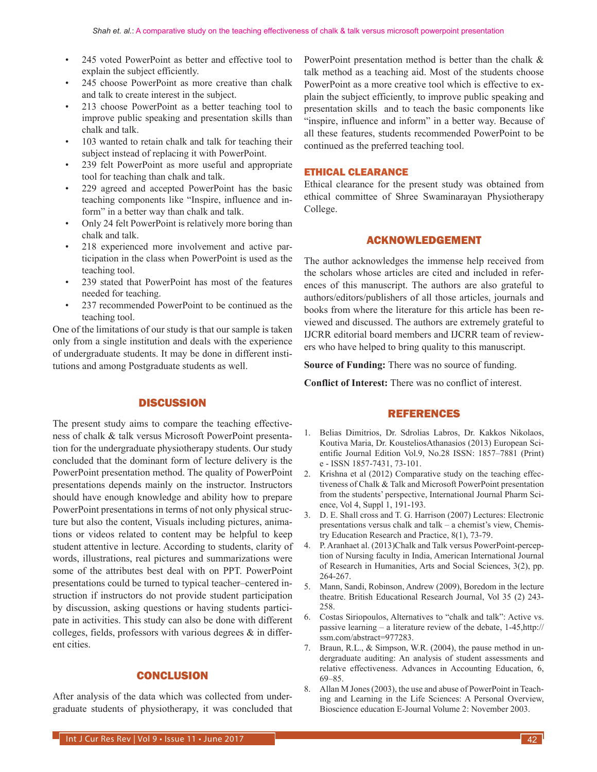- 245 voted PowerPoint as better and effective tool to explain the subject efficiently.
- 245 choose PowerPoint as more creative than chalk and talk to create interest in the subject.
- 213 choose PowerPoint as a better teaching tool to improve public speaking and presentation skills than chalk and talk.
- 103 wanted to retain chalk and talk for teaching their subject instead of replacing it with PowerPoint.
- 239 felt PowerPoint as more useful and appropriate tool for teaching than chalk and talk.
- 229 agreed and accepted PowerPoint has the basic teaching components like "Inspire, influence and inform" in a better way than chalk and talk.
- Only 24 felt PowerPoint is relatively more boring than chalk and talk.
- 218 experienced more involvement and active participation in the class when PowerPoint is used as the teaching tool.
- 239 stated that PowerPoint has most of the features needed for teaching.
- 237 recommended PowerPoint to be continued as the teaching tool.

One of the limitations of our study is that our sample is taken only from a single institution and deals with the experience of undergraduate students. It may be done in different institutions and among Postgraduate students as well.

#### **DISCUSSION**

The present study aims to compare the teaching effectiveness of chalk & talk versus Microsoft PowerPoint presentation for the undergraduate physiotherapy students. Our study concluded that the dominant form of lecture delivery is the PowerPoint presentation method. The quality of PowerPoint presentations depends mainly on the instructor. Instructors should have enough knowledge and ability how to prepare PowerPoint presentations in terms of not only physical structure but also the content, Visuals including pictures, animations or videos related to content may be helpful to keep student attentive in lecture. According to students, clarity of words, illustrations, real pictures and summarizations were some of the attributes best deal with on PPT. PowerPoint presentations could be turned to typical teacher–centered instruction if instructors do not provide student participation by discussion, asking questions or having students participate in activities. This study can also be done with different colleges, fields, professors with various degrees  $\&$  in different cities.

#### **CONCLUSION**

After analysis of the data which was collected from undergraduate students of physiotherapy, it was concluded that PowerPoint presentation method is better than the chalk  $\&$ talk method as a teaching aid. Most of the students choose PowerPoint as a more creative tool which is effective to explain the subject efficiently, to improve public speaking and presentation skills and to teach the basic components like "inspire, influence and inform" in a better way. Because of all these features, students recommended PowerPoint to be continued as the preferred teaching tool.

#### ETHICAL CLEARANCE

Ethical clearance for the present study was obtained from ethical committee of Shree Swaminarayan Physiotherapy College.

#### ACKNOWLEDGEMENT

The author acknowledges the immense help received from the scholars whose articles are cited and included in references of this manuscript. The authors are also grateful to authors/editors/publishers of all those articles, journals and books from where the literature for this article has been reviewed and discussed. The authors are extremely grateful to IJCRR editorial board members and IJCRR team of reviewers who have helped to bring quality to this manuscript.

**Source of Funding:** There was no source of funding.

**Conflict of Interest:** There was no conflict of interest.

#### REFERENCES

- 1. Belias Dimitrios, Dr. Sdrolias Labros, Dr. Kakkos Nikolaos, Koutiva Maria, Dr. KousteliosAthanasios (2013) European Scientific Journal Edition Vol.9, No.28 ISSN: 1857–7881 (Print) e - ISSN 1857-7431, 73-101.
- 2. Krishna et al (2012) Comparative study on the teaching effectiveness of Chalk & Talk and Microsoft PowerPoint presentation from the students' perspective, International Journal Pharm Science, Vol 4, Suppl 1, 191-193.
- 3. D. E. Shall cross and T. G. Harrison (2007) Lectures: Electronic presentations versus chalk and talk – a chemist's view, Chemistry Education Research and Practice, 8(1), 73-79.
- 4. P. Aranhaet al. (2013)Chalk and Talk versus PowerPoint-perception of Nursing faculty in India, American International Journal of Research in Humanities, Arts and Social Sciences, 3(2), pp. 264-267.
- 5. Mann, Sandi, Robinson, Andrew (2009), Boredom in the lecture theatre. British Educational Research Journal, Vol 35 (2) 243- 258.
- 6. Costas Siriopoulos, Alternatives to "chalk and talk": Active vs. passive learning – a literature review of the debate, 1-45,http:// ssm.com/abstract=977283.
- 7. Braun, R.L., & Simpson, W.R. (2004), the pause method in undergraduate auditing: An analysis of student assessments and relative effectiveness. Advances in Accounting Education, 6, 69–85.
- 8. Allan M Jones (2003), the use and abuse of PowerPoint in Teaching and Learning in the Life Sciences: A Personal Overview, Bioscience education E-Journal Volume 2: November 2003.